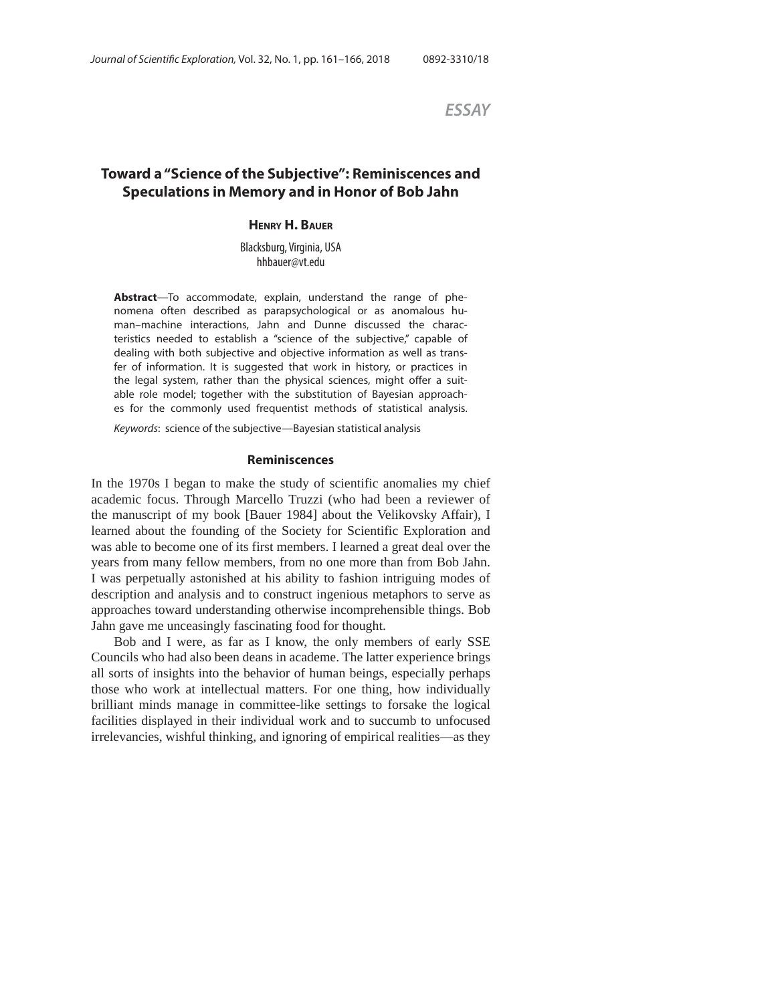*ESSAY*

# **Toward a "Science of the Subjective": Reminiscences and Speculations in Memory and in Honor of Bob Jahn**

## **HENRY H. BAUER**

Blacksburg, Virginia, USA hhbauer@vt.edu

**Abstract**—To accommodate, explain, understand the range of phenomena often described as parapsychological or as anomalous human–machine interactions, Jahn and Dunne discussed the characteristics needed to establish a "science of the subjective," capable of dealing with both subjective and objective information as well as transfer of information. It is suggested that work in history, or practices in the legal system, rather than the physical sciences, might offer a suitable role model; together with the substitution of Bayesian approaches for the commonly used frequentist methods of statistical analysis.

Keywords: science of the subjective—Bayesian statistical analysis

#### **Reminiscences**

In the 1970s I began to make the study of scientific anomalies my chief academic focus. Through Marcello Truzzi (who had been a reviewer of the manuscript of my book [Bauer 1984] about the Velikovsky Affair), I learned about the founding of the Society for Scientific Exploration and was able to become one of its first members. I learned a great deal over the years from many fellow members, from no one more than from Bob Jahn. I was perpetually astonished at his ability to fashion intriguing modes of description and analysis and to construct ingenious metaphors to serve as approaches toward understanding otherwise incomprehensible things. Bob Jahn gave me unceasingly fascinating food for thought.

Bob and I were, as far as I know, the only members of early SSE Councils who had also been deans in academe. The latter experience brings all sorts of insights into the behavior of human beings, especially perhaps those who work at intellectual matters. For one thing, how individually brilliant minds manage in committee-like settings to forsake the logical facilities displayed in their individual work and to succumb to unfocused irrelevancies, wishful thinking, and ignoring of empirical realities—as they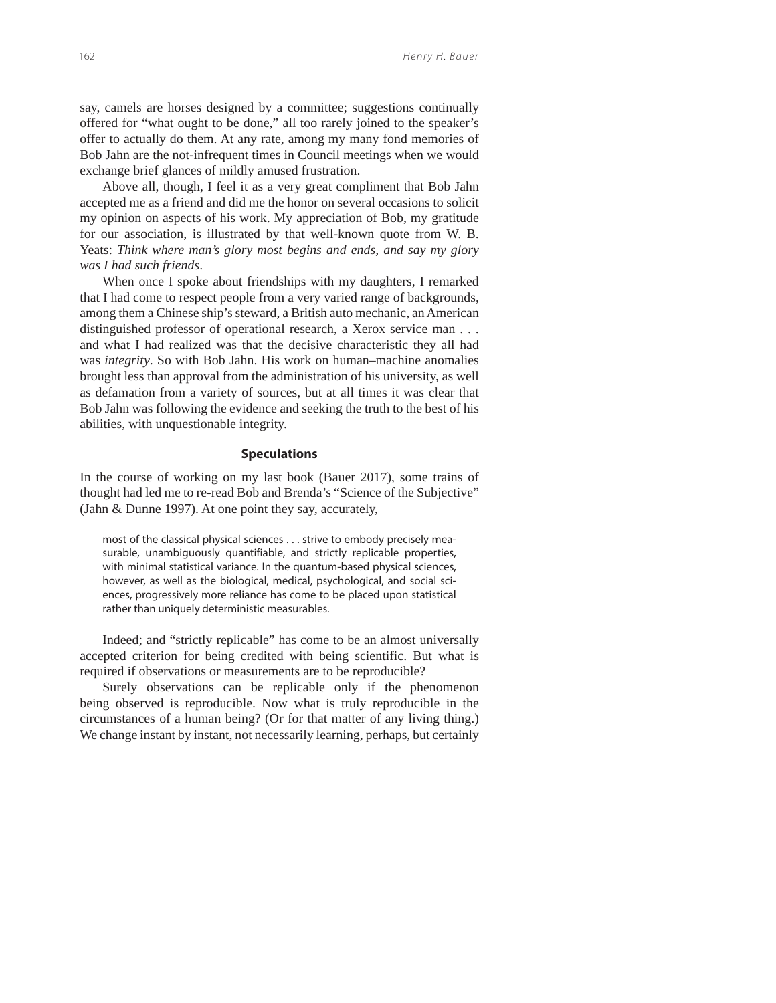say, camels are horses designed by a committee; suggestions continually offered for "what ought to be done," all too rarely joined to the speaker's offer to actually do them. At any rate, among my many fond memories of Bob Jahn are the not-infrequent times in Council meetings when we would exchange brief glances of mildly amused frustration.

Above all, though, I feel it as a very great compliment that Bob Jahn accepted me as a friend and did me the honor on several occasions to solicit my opinion on aspects of his work. My appreciation of Bob, my gratitude for our association, is illustrated by that well-known quote from W. B. Yeats: *Think where man's glory most begins and ends, and say my glory was I had such friends*.

When once I spoke about friendships with my daughters, I remarked that I had come to respect people from a very varied range of backgrounds, among them a Chinese ship's steward, a British auto mechanic, an American distinguished professor of operational research, a Xerox service man . . . and what I had realized was that the decisive characteristic they all had was *integrity*. So with Bob Jahn. His work on human–machine anomalies brought less than approval from the administration of his university, as well as defamation from a variety of sources, but at all times it was clear that Bob Jahn was following the evidence and seeking the truth to the best of his abilities, with unquestionable integrity.

#### **Speculations**

In the course of working on my last book (Bauer 2017), some trains of thought had led me to re-read Bob and Brenda's "Science of the Subjective" (Jahn & Dunne 1997). At one point they say, accurately,

most of the classical physical sciences . . . strive to embody precisely measurable, unambiguously quantifiable, and strictly replicable properties, with minimal statistical variance. In the quantum-based physical sciences, however, as well as the biological, medical, psychological, and social sciences, progressively more reliance has come to be placed upon statistical rather than uniquely deterministic measurables.

Indeed; and "strictly replicable" has come to be an almost universally accepted criterion for being credited with being scientific. But what is required if observations or measurements are to be reproducible?

Surely observations can be replicable only if the phenomenon being observed is reproducible. Now what is truly reproducible in the circumstances of a human being? (Or for that matter of any living thing.) We change instant by instant, not necessarily learning, perhaps, but certainly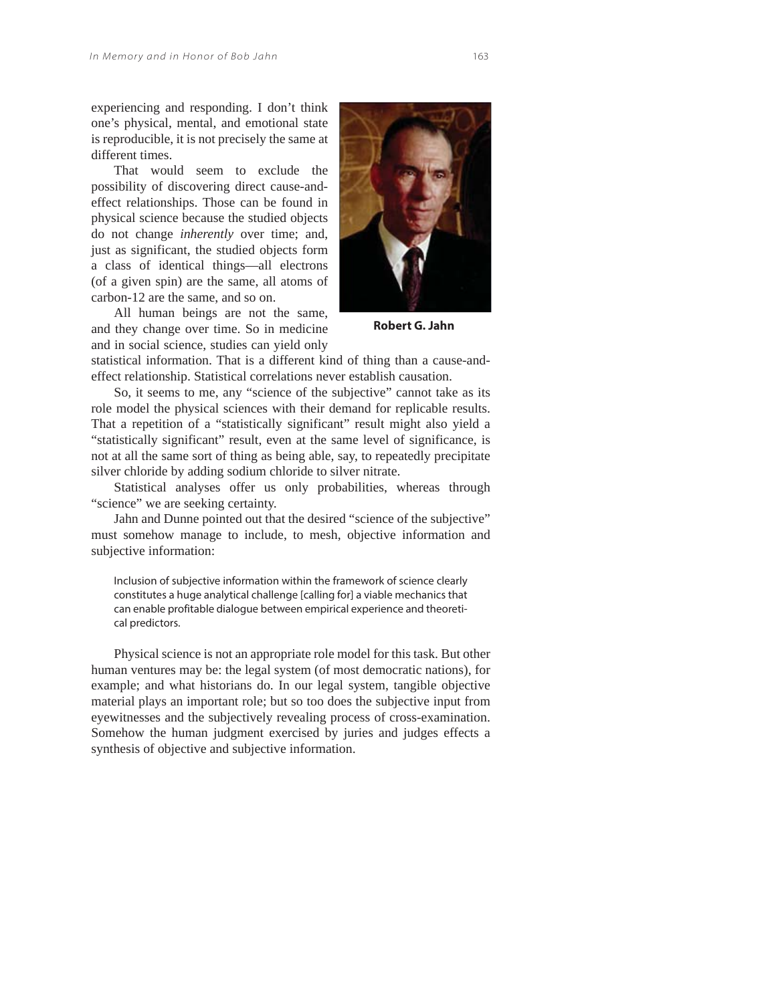experiencing and responding. I don't think one's physical, mental, and emotional state is reproducible, it is not precisely the same at different times.

That would seem to exclude the possibility of discovering direct cause-andeffect relationships. Those can be found in physical science because the studied objects do not change *inherently* over time; and, just as significant, the studied objects form a class of identical things—all electrons (of a given spin) are the same, all atoms of carbon-12 are the same, and so on.

All human beings are not the same, and they change over time. So in medicine and in social science, studies can yield only



**Robert G. Jahn**

statistical information. That is a different kind of thing than a cause-andeffect relationship. Statistical correlations never establish causation.

So, it seems to me, any "science of the subjective" cannot take as its role model the physical sciences with their demand for replicable results. That a repetition of a "statistically significant" result might also yield a "statistically significant" result, even at the same level of significance, is not at all the same sort of thing as being able, say, to repeatedly precipitate silver chloride by adding sodium chloride to silver nitrate.

Statistical analyses offer us only probabilities, whereas through "science" we are seeking certainty.

Jahn and Dunne pointed out that the desired "science of the subjective" must somehow manage to include, to mesh, objective information and subjective information:

Inclusion of subjective information within the framework of science clearly constitutes a huge analytical challenge [calling for] a viable mechanics that can enable profitable dialogue between empirical experience and theoretical predictors.

Physical science is not an appropriate role model for this task. But other human ventures may be: the legal system (of most democratic nations), for example; and what historians do. In our legal system, tangible objective material plays an important role; but so too does the subjective input from eyewitnesses and the subjectively revealing process of cross-examination. Somehow the human judgment exercised by juries and judges effects a synthesis of objective and subjective information.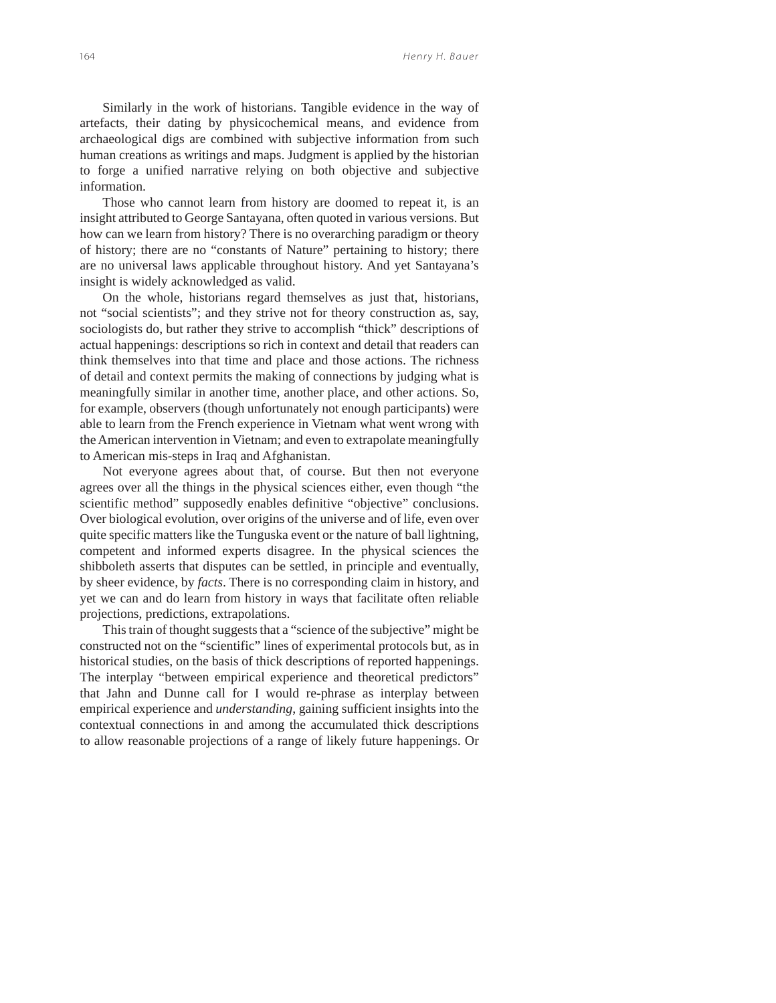Similarly in the work of historians. Tangible evidence in the way of artefacts, their dating by physicochemical means, and evidence from archaeological digs are combined with subjective information from such human creations as writings and maps. Judgment is applied by the historian to forge a unified narrative relying on both objective and subjective information.

Those who cannot learn from history are doomed to repeat it, is an insight attributed to George Santayana, often quoted in various versions. But how can we learn from history? There is no overarching paradigm or theory of history; there are no "constants of Nature" pertaining to history; there are no universal laws applicable throughout history. And yet Santayana's insight is widely acknowledged as valid.

On the whole, historians regard themselves as just that, historians, not "social scientists"; and they strive not for theory construction as, say, sociologists do, but rather they strive to accomplish "thick" descriptions of actual happenings: descriptions so rich in context and detail that readers can think themselves into that time and place and those actions. The richness of detail and context permits the making of connections by judging what is meaningfully similar in another time, another place, and other actions. So, for example, observers (though unfortunately not enough participants) were able to learn from the French experience in Vietnam what went wrong with the American intervention in Vietnam; and even to extrapolate meaningfully to American mis-steps in Iraq and Afghanistan.

Not everyone agrees about that, of course. But then not everyone agrees over all the things in the physical sciences either, even though "the scientific method" supposedly enables definitive "objective" conclusions. Over biological evolution, over origins of the universe and of life, even over quite specific matters like the Tunguska event or the nature of ball lightning, competent and informed experts disagree. In the physical sciences the shibboleth asserts that disputes can be settled, in principle and eventually, by sheer evidence, by *facts*. There is no corresponding claim in history, and yet we can and do learn from history in ways that facilitate often reliable projections, predictions, extrapolations.

This train of thought suggests that a "science of the subjective" might be constructed not on the "scientific" lines of experimental protocols but, as in historical studies, on the basis of thick descriptions of reported happenings. The interplay "between empirical experience and theoretical predictors" that Jahn and Dunne call for I would re-phrase as interplay between empirical experience and *understanding*, gaining sufficient insights into the contextual connections in and among the accumulated thick descriptions to allow reasonable projections of a range of likely future happenings. Or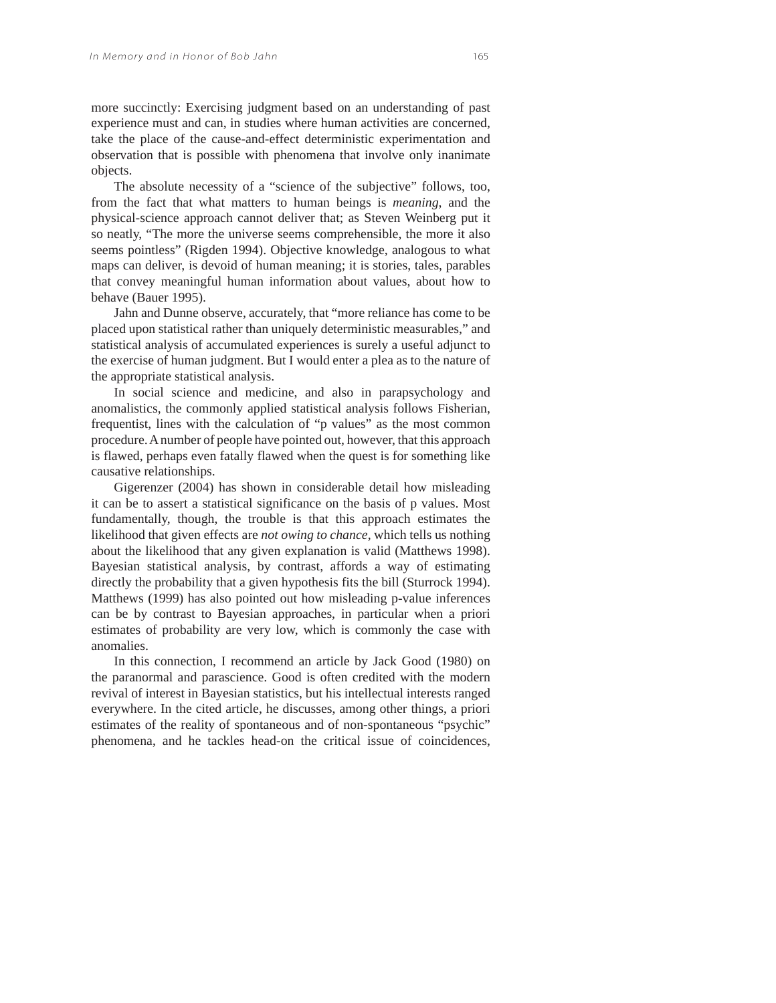more succinctly: Exercising judgment based on an understanding of past experience must and can, in studies where human activities are concerned, take the place of the cause-and-effect deterministic experimentation and observation that is possible with phenomena that involve only inanimate objects.

The absolute necessity of a "science of the subjective" follows, too, from the fact that what matters to human beings is *meaning*, and the physical-science approach cannot deliver that; as Steven Weinberg put it so neatly, "The more the universe seems comprehensible, the more it also seems pointless" (Rigden 1994). Objective knowledge, analogous to what maps can deliver, is devoid of human meaning; it is stories, tales, parables that convey meaningful human information about values, about how to behave (Bauer 1995).

Jahn and Dunne observe, accurately, that "more reliance has come to be placed upon statistical rather than uniquely deterministic measurables," and statistical analysis of accumulated experiences is surely a useful adjunct to the exercise of human judgment. But I would enter a plea as to the nature of the appropriate statistical analysis.

In social science and medicine, and also in parapsychology and anomalistics, the commonly applied statistical analysis follows Fisherian, frequentist, lines with the calculation of "p values" as the most common procedure. A number of people have pointed out, however, that this approach is flawed, perhaps even fatally flawed when the quest is for something like causative relationships.

Gigerenzer (2004) has shown in considerable detail how misleading it can be to assert a statistical significance on the basis of p values. Most fundamentally, though, the trouble is that this approach estimates the likelihood that given effects are *not owing to chance*, which tells us nothing about the likelihood that any given explanation is valid (Matthews 1998). Bayesian statistical analysis, by contrast, affords a way of estimating directly the probability that a given hypothesis fits the bill (Sturrock 1994). Matthews (1999) has also pointed out how misleading p-value inferences can be by contrast to Bayesian approaches, in particular when a priori estimates of probability are very low, which is commonly the case with anomalies.

In this connection, I recommend an article by Jack Good (1980) on the paranormal and parascience. Good is often credited with the modern revival of interest in Bayesian statistics, but his intellectual interests ranged everywhere. In the cited article, he discusses, among other things, a priori estimates of the reality of spontaneous and of non-spontaneous "psychic" phenomena, and he tackles head-on the critical issue of coincidences,